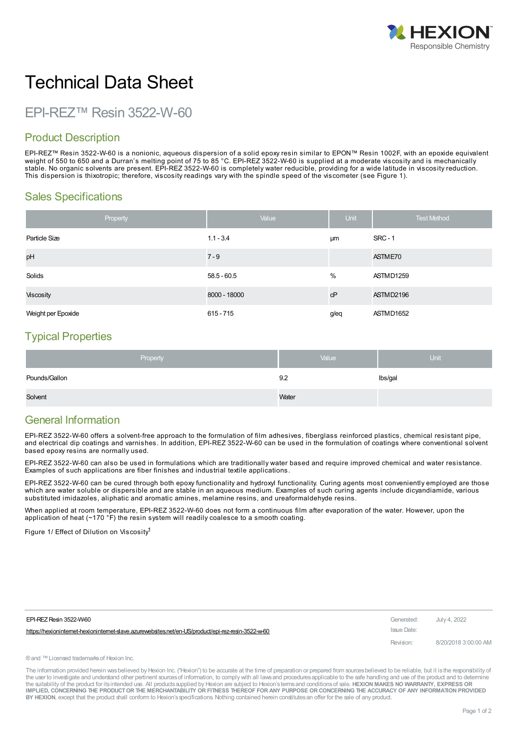

# Technical Data Sheet

EPI-REZ™ Resin 3522-W-60

# Product Description

EPI-REZ™ Resin 3522-W-60 is a nonionic, aqueous dispersion of a solid epoxy resin similar to EPON™ Resin 1002F, with an epoxide equivalent weight of 550 to 650 and a Durran's melting point of 75 to 85 °C. EPI-REZ 3522-W-60 is supplied at a moderate viscosity and is mechanically stable. No organic solvents are present. EPI-REZ 3522-W-60 is completely water reducible, providing for a wide latitude in viscosity reduction. This dispersion is thixotropic; therefore, viscosity readings vary with the spindle speed of the viscometer (see Figure 1).

## Sales Specifications

|                    | Property | Value         | Unit | <b>Test Method</b> |
|--------------------|----------|---------------|------|--------------------|
| Particle Size      |          | $1.1 - 3.4$   | μm   | $SRC - 1$          |
| pH                 |          | $7 - 9$       |      | ASTME70            |
| Solids             |          | $58.5 - 60.5$ | %    | ASTMD1259          |
| <b>Viscosity</b>   |          | 8000 - 18000  | cP   | ASTMD2196          |
| Weight per Epoxide |          | 615 - 715     | g/eq | ASTMD1652          |

## Typical Properties

| Property      | Value | <b>Unit</b> |
|---------------|-------|-------------|
| Pounds/Gallon | 9.2   | lbs/gal     |
| Solvent       | Water |             |

# General Information

EPI-REZ 3522-W-60 offers a solvent-free approach to the formulation of film adhesives, fiberglass reinforced plastics, chemical resistant pipe, and electrical dip coatings and varnishes. In addition, EPI-REZ 3522-W-60 can be used in the formulation of coatings where conventional solvent based epoxy resins are normally used.

EPI-REZ 3522-W-60 can also be used in formulations which are traditionally water based and require improved chemical and water resistance. Examples of such applications are fiber finishes and industrial textile applications.

EPI-REZ 3522-W-60 can be cured through both epoxy functionality and hydroxyl functionality. Curing agents most conveniently employed are those which are water soluble or dispersible and are stable in an aqueous medium. Examples of such curing agents include dicyandiamide, various substituted imidazoles, aliphatic and aromatic amines, melamine resins, and ureaformaldehyde resins.

When applied at room temperature, EPI-REZ 3522-W-60 does not form a continuous film after evaporation of the water. However, upon the application of heat (~170  $\textdegree$ F) the resin system will readily coalesce to a smooth coating.

Figure 1/ Effect of Dilution on Viscosity<sup>1</sup>

| EPI-REZ Resin 3522-W-60                                                                           | Generated:  | July 4, 2022         |
|---------------------------------------------------------------------------------------------------|-------------|----------------------|
| https://hexionintemet-hexionintemet-slave.azurewebsites.net/en-US/product/epi-rez-resin-3522-w-60 | Issue Date: |                      |
|                                                                                                   | Revision:   | 8/20/2018 3:00:00 AM |

®and ™Licensed trademarksof Hexion Inc.

The information provided herein wasbelieved by Hexion Inc. ("Hexion") to be accurate at the time of preparation or prepared from sourcesbelieved to be reliable, but it isthe responsibility of the user to investigate and understand other pertinent sources of information, to comply with all laws and procedures applicable to the safe handling and use of the product and to determine the suitability of the product for itsintended use. All productssupplied by Hexion are subject to Hexion'stermsand conditionsof sale. **HEXION MAKES NO WARRANTY, EXPRESS OR** IMPLIED, CONCERNING THE PRODUCT OR THE MERCHANTABILITY OR FITNESS THEREOF FOR ANY PURPOSE OR CONCERNING THE ACCURACY OF ANY INFORMATION PROVIDED **BY HEXION**, except that the product shall conform to Hexion'sspecifications. Nothing contained herein constitutesan offer for the sale of any product.